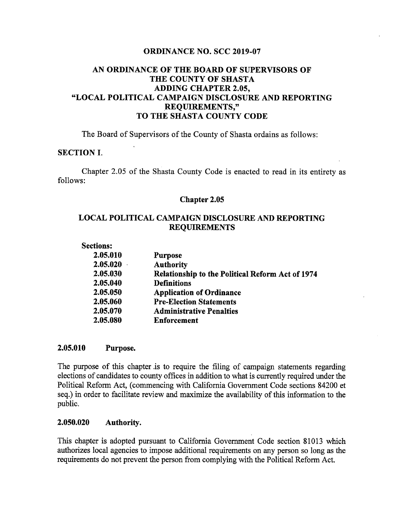#### ORDINANCE NO. SCC 2019-07

# AN ORDINANCE OF THE BOARD OF SUPERVISORS OF THE COUNTY OF SHASTA ADDING CHAPTER 2.05, "LOCAL POLITICAL CAMPAIGN DISCLOSURE AND REPORTING REQUIREMENTS," TO THE SHASTA COUNTY CODE

The Board of Supervisors of the County of Shasta ordains as follows:

# SECTION I.

Chapter 2.05 of the Shasta County Code is enacted to read in its entirety as follows:

#### Chapter 2.05

## LOCAL POLITICAL CAMPAIGN DISCLOSURE AND REPORTING REQUIREMENTS

| <b>Sections:</b> |                                                  |
|------------------|--------------------------------------------------|
| 2.05.010         | <b>Purpose</b>                                   |
| 2.05.020         | <b>Authority</b>                                 |
| 2.05.030         | Relationship to the Political Reform Act of 1974 |
| 2.05.040         | <b>Definitions</b>                               |
| 2.05.050         | <b>Application of Ordinance</b>                  |
| 2.05.060         | <b>Pre-Election Statements</b>                   |
| 2.05.070         | <b>Administrative Penalties</b>                  |
| 2.05.080         | <b>Enforcement</b>                               |

#### 2.05.010 Purpose.

The purpose of this chapter is to require the filing of campaign statements regarding elections of candidates to county offices in addition to what is currently required under the Political Reform Act, (commencing with California Government Code sections 84200 et seq.) in order to facilitate review and maximize the availability of this information to the public.

## 2.050.020 Authority.

This chapter is adopted pursuant to California Government Code section 81013 which authorizes local agencies to impose additional requirements on any person so long as the requirements do not prevent the person from complying with the Political Reform Act.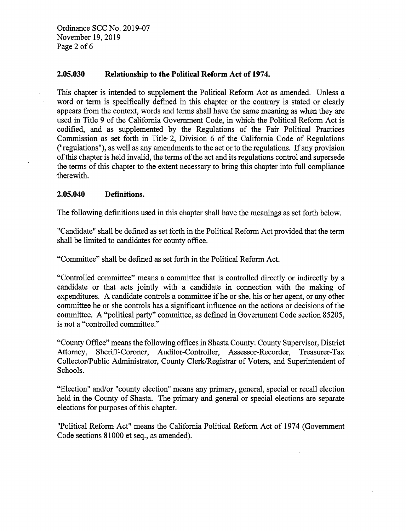Ordinance SCC No. 2019-07 November 19, 2019 Page 2 of 6

## 2.05.030 Relationship to the Political Reform Act of 1974.

This chapter is intended to supplement the Political Reform Act as amended. Unless a word or term is specifically defined in this chapter or the contrary is stated or clearly appears from the context, words and terms shall have the same meaning as when they are used in Title 9 of the California Government Code, in which the Political Reform Act is codified, and as supplemented by the Regulations of the Fair Political Practices Commission as set forth in Title' 2, Division 6 of the California Code of Regulations ("regulations"), as well as any amendments to the act or to the regulations. If any provision of this chapter is held invalid, the terms of the act and its regulations control and supersede the terms of this chapter to the extent necessary to bring this chapterinto full compliance -therewith.

## 2.05.040 Definitions.

The following definitions used in this chapter shall have the meanings as set forth below.

"Candidate" shall be defined as set forth in the Political Reform Act provided that the term shall be limited to candidates for county office.

"Committee" shall be defined as set forth in the Political Reform Act.

"Controlled committee" means a committee that is controlled directly or indirectly by a candidate or that acts jointly with a candidate in connection with the making of expenditures. A candidate controls a committee if he or she, his or her agent, or any other committee he or she controls has a significant influence on the actions or decisions of the committee. A "political party" committee, as defined in Government Code section 85205, is not a "controlled committee."

"County Office"means the following officesinShasta County: County Supervisor, District Attorney, Sheriff-Coroner, Auditor-Controller, Assessor-Recorder, Treasurer-Tax Collector/Public Administrator, County Clerk/Registrar of Voters, and Superintendent of Schools.

"Election" and/or "county election" means any primary, general, special or recall election held in the County of Shasta. The primary and general or special elections are separate elections for purposes of this chapter.

"Political Reform Act" means the California Political Reform Act of 1974 (Government Code sections 81000 et seq., as amended).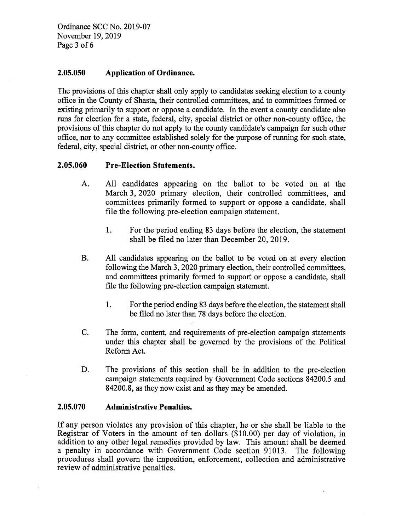Ordinance SCC No. 2019-07 November 19, 2019 Page 3 of 6

## 2.05.050 Application of Ordinance.

The provisions of this chapter shall only apply to candidates seeking election to a county office in the County of Shasta, their controlled committees, and to committees formed or existing primarily to support or oppose a candidate. In the event a county candidate also runs for election for a state, federal, city, special district or other non-county office, the provisions of this chapter do not apply to the county candidate's campaign for such other office, nor to any committee established solely for the purpose of running for such state, federal, city, special district, or other non-county office.

## 2.05.060 Pre-Election Statements.

- A. All candidates appearing on the ballot to be voted on at the March 3, 2020 primary election, their controlled committees, and committees primarily formed to support or oppose a candidate, shall file the following pre-election campaign statement.
	- 1. For the period ending 83 days before the election, the statement shall be filed no later than December 20, 2019.
- B. All candidates appearing on the ballot to be voted on at every election following the March 3, 2020 primary election, their controlled committees, and committees primarily formed to support or oppose a candidate, shall file the following pre-election campaign statement.
	- 1. For the period ending 83 days before the election, the statement shall be filed no later than 78 days before the election.
- C. The form, content, and requirements of pre-election campaign statements under this chapter shall be governed by the provisions of the Political Reform Act.
- D. The provisions of this section shall be in addition to the pre-election campaign statements required by Government Code sections 84200.5 and 84200.8, as they now exist and as they may be amended.

## 2.05.070 Administrative Penalties.

If any person violates any provision of this chapter, he or she shall be liable to the Registrar of Voters in the amount of ten dollars (\$10.00) per day of violation, in addition to any other legal remedies provided by law. This amount shall be deemed a penalty in accordance with Government Code section 91013. The following procedures shall govern the imposition, enforcement, collection and administrative review of administrative penalties.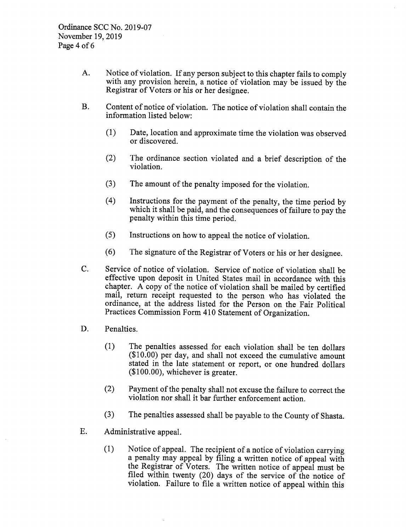- A. Notice of violation. If any person subject to this chapter fails to comply with any provision herein, a notice of violation may be issued by the Registrar of Voters or his or her designee.
- $B<sub>1</sub>$ Content of notice of violation. The notice of violation shall contain the information listed below:
	- (1) Date, location and approximate time the violation was observed or discovered.
	- (2) The ordinance section violated and a brief description of the violation.
	- (3) The amount of the penalty imposed for the violation.
	- (4) Instructions for the payment of the penalty, the time period by which it shall be paid, and the consequences of failure to pay the penalty within this time period.
	- (5) Instructions on how to appeal the notice of violation.
	- (6) The signature of the Registrar of Voters or his or her designee.
- $C_{\cdot}$ Service of notice of violation. Service of notice of violation shall be effective upon deposit in United States mail in accordance with this chapter. A copy of the notice of violation shall be mailed by certified mail, return receipt requested to the person who has violated the ordinance, at the address listed for the Person on the Fair Political Practices Commission Form 410 Statement of Organization.
- D. Penalties.
	- (1) The penalties assessed for each violation shall be ten dollars (\$10.00) per day, and shall not exceed the cumulative amount stated in the late statement or report, or one hundred dollars (\$100.00), whichever is greater.
	- (2) Payment of the penalty shall not excuse the failure to correct the violation nor shall it bar further enforcement action.
	- (3) The penalties assessed shall be payable to the County of Shasta.
- E. Administrative appeal.
	- (1) Notice of appeal. The recipient of a notice of violation carrying a penalty may appeal by filing a written notice of appeal with the Registrar of Voters. The written notice of appeal must be filed within twenty (20) days of the service of the notice of violation. Failure to file a written notice of appeal within this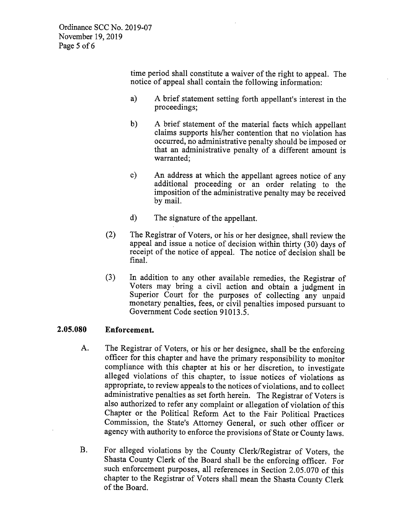time period shall constitute a waiver of the right to appeal. The notice of appeal shall contain the following information:

- a) A brief statement setting forth appellant's interest in the proceedings;
- b) A brief statement of the material facts which appellant claims supports his/her contention that no violation has occurred, no administrative penalty should be imposed or that an administrative penalty of a different amount is warranted;
- c) An address at which the appellant agrees notice of any additional proceeding or an order relating to the imposition of the administrative penalty may be received by mail.
- d) The signature of the appellant.
- (2) The Registrar of Voters, or his or her designee, shall review the appeal and issue a notice of decision Within thirty (30) days of receipt of the notice of appeal. The notice of decision shall be final.
- (3) In addition to any other available remedies, the Registrar of Voters may bring a civil action and obtain a judgment in Superior Court for the purposes of collecting any unpaid monetary penalties, fees, or civil penalties imposed pursuant to Government Code section 91013.5.

#### 2.05.080 Enforcement.

- A. The Registrar of Voters, or his or her designee, shall be the enforcing officer for this chapter and have the primary responsibility to monitor compliance with this chapter at his or her discretion, to investigate alleged violations of this chapter, to issue notices of violations as appropriate, to review appeals to the notices of violations, and to collect administrative penalties as set forth herein. The Registrar of Voters is also authorized to refer any complaint or allegation of violation of this Chapter or the Political Reform Act to the Fair Political Practices Commission, the State's Attorney General, or such other officer or agency with authority to enforce the provisions of State or County laws.
- **B.** For alleged violations by the County Clerk/Registrar of Voters, the Shasta County Clerk of the Board shall be the enforcing officer. For such enforcement purposes, all references in Section 2.05.070 of this chapter to the Registrar of Voters shall mean the Shasta County Clerk of the Board.